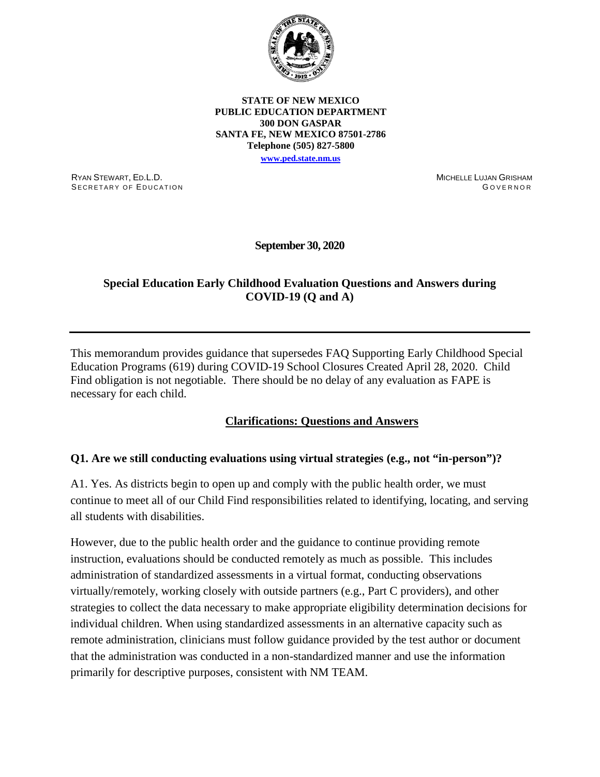

**STATE OF NEW MEXICO PUBLIC EDUCATION DEPARTMENT 300 DON GASPAR SANTA FE, NEW MEXICO 87501-2786 Telephone (505) 827-5800 [www.ped.state.nm.us](http://www.ped.state.nm.us/)**

RYAN STEWART, ED.L.D. SECRETARY OF EDUCATION MICHELLE LUJAN GRISHAM G OVERNOR

**September 30, 2020**

## **Special Education Early Childhood Evaluation Questions and Answers during COVID-19 (Q and A)**

This memorandum provides guidance that supersedes FAQ Supporting Early Childhood Special Education Programs (619) during COVID-19 School Closures Created April 28, 2020. Child Find obligation is not negotiable. There should be no delay of any evaluation as FAPE is necessary for each child.

#### **Clarifications: Questions and Answers**

#### **Q1. Are we still conducting evaluations using virtual strategies (e.g., not "in-person")?**

A1. Yes. As districts begin to open up and comply with the public health order, we must continue to meet all of our Child Find responsibilities related to identifying, locating, and serving all students with disabilities.

However, due to the public health order and the guidance to continue providing remote instruction, evaluations should be conducted remotely as much as possible. This includes administration of standardized assessments in a virtual format, conducting observations virtually/remotely, working closely with outside partners (e.g., Part C providers), and other strategies to collect the data necessary to make appropriate eligibility determination decisions for individual children. When using standardized assessments in an alternative capacity such as remote administration, clinicians must follow guidance provided by the test author or document that the administration was conducted in a non-standardized manner and use the information primarily for descriptive purposes, consistent with NM TEAM.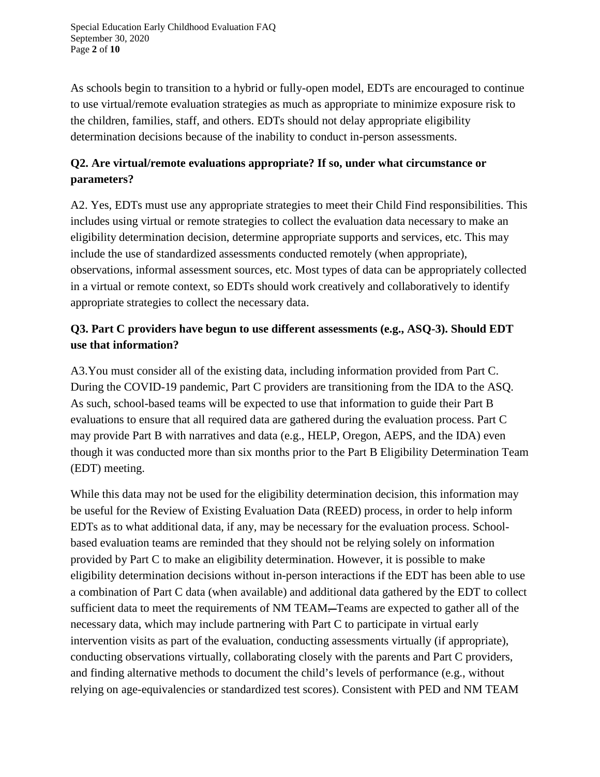Special Education Early Childhood Evaluation FAQ September 30, 2020 Page **2** of **10**

As schools begin to transition to a hybrid or fully-open model, EDTs are encouraged to continue to use virtual/remote evaluation strategies as much as appropriate to minimize exposure risk to the children, families, staff, and others. EDTs should not delay appropriate eligibility determination decisions because of the inability to conduct in-person assessments.

# **Q2. Are virtual/remote evaluations appropriate? If so, under what circumstance or parameters?**

A2. Yes, EDTs must use any appropriate strategies to meet their Child Find responsibilities. This includes using virtual or remote strategies to collect the evaluation data necessary to make an eligibility determination decision, determine appropriate supports and services, etc. This may include the use of standardized assessments conducted remotely (when appropriate), observations, informal assessment sources, etc. Most types of data can be appropriately collected in a virtual or remote context, so EDTs should work creatively and collaboratively to identify appropriate strategies to collect the necessary data.

# **Q3. Part C providers have begun to use different assessments (e.g., ASQ-3). Should EDT use that information?**

A3.You must consider all of the existing data, including information provided from Part C. During the COVID-19 pandemic, Part C providers are transitioning from the IDA to the ASQ. As such, school-based teams will be expected to use that information to guide their Part B evaluations to ensure that all required data are gathered during the evaluation process. Part C may provide Part B with narratives and data (e.g., HELP, Oregon, AEPS, and the IDA) even though it was conducted more than six months prior to the Part B Eligibility Determination Team (EDT) meeting.

While this data may not be used for the eligibility determination decision, this information may be useful for the Review of Existing Evaluation Data (REED) process, in order to help inform EDTs as to what additional data, if any, may be necessary for the evaluation process. Schoolbased evaluation teams are reminded that they should not be relying solely on information provided by Part C to make an eligibility determination. However, it is possible to make eligibility determination decisions without in-person interactions if the EDT has been able to use a combination of Part C data (when available) and additional data gathered by the EDT to collect sufficient data to meet the requirements of NM TEAM—Teams are expected to gather all of the necessary data, which may include partnering with Part C to participate in virtual early intervention visits as part of the evaluation, conducting assessments virtually (if appropriate), conducting observations virtually, collaborating closely with the parents and Part C providers, and finding alternative methods to document the child's levels of performance (e.g., without relying on age-equivalencies or standardized test scores). Consistent with PED and NM TEAM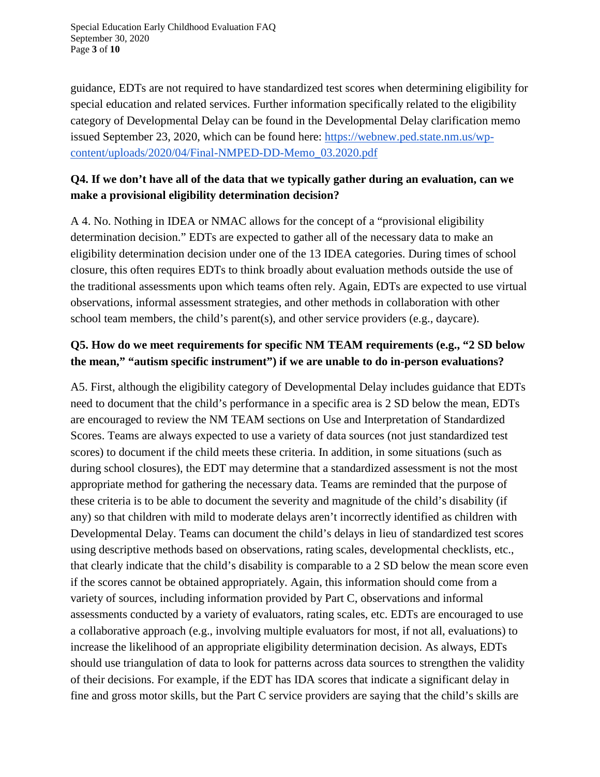Special Education Early Childhood Evaluation FAQ September 30, 2020 Page **3** of **10**

guidance, EDTs are not required to have standardized test scores when determining eligibility for special education and related services. Further information specifically related to the eligibility category of Developmental Delay can be found in the Developmental Delay clarification memo issued September 23, 2020, which can be found here: [https://webnew.ped.state.nm.us/wp](https://webnew.ped.state.nm.us/wp-content/uploads/2020/04/Final-NMPED-DD-Memo_03.2020.pdf)[content/uploads/2020/04/Final-NMPED-DD-Memo\\_03.2020.pdf](https://webnew.ped.state.nm.us/wp-content/uploads/2020/04/Final-NMPED-DD-Memo_03.2020.pdf)

## **Q4. If we don't have all of the data that we typically gather during an evaluation, can we make a provisional eligibility determination decision?**

A 4. No. Nothing in IDEA or NMAC allows for the concept of a "provisional eligibility determination decision." EDTs are expected to gather all of the necessary data to make an eligibility determination decision under one of the 13 IDEA categories. During times of school closure, this often requires EDTs to think broadly about evaluation methods outside the use of the traditional assessments upon which teams often rely. Again, EDTs are expected to use virtual observations, informal assessment strategies, and other methods in collaboration with other school team members, the child's parent(s), and other service providers (e.g., daycare).

# **Q5. How do we meet requirements for specific NM TEAM requirements (e.g., "2 SD below the mean," "autism specific instrument") if we are unable to do in-person evaluations?**

A5. First, although the eligibility category of Developmental Delay includes guidance that EDTs need to document that the child's performance in a specific area is 2 SD below the mean, EDTs are encouraged to review the NM TEAM sections on Use and Interpretation of Standardized Scores. Teams are always expected to use a variety of data sources (not just standardized test scores) to document if the child meets these criteria. In addition, in some situations (such as during school closures), the EDT may determine that a standardized assessment is not the most appropriate method for gathering the necessary data. Teams are reminded that the purpose of these criteria is to be able to document the severity and magnitude of the child's disability (if any) so that children with mild to moderate delays aren't incorrectly identified as children with Developmental Delay. Teams can document the child's delays in lieu of standardized test scores using descriptive methods based on observations, rating scales, developmental checklists, etc., that clearly indicate that the child's disability is comparable to a 2 SD below the mean score even if the scores cannot be obtained appropriately. Again, this information should come from a variety of sources, including information provided by Part C, observations and informal assessments conducted by a variety of evaluators, rating scales, etc. EDTs are encouraged to use a collaborative approach (e.g., involving multiple evaluators for most, if not all, evaluations) to increase the likelihood of an appropriate eligibility determination decision. As always, EDTs should use triangulation of data to look for patterns across data sources to strengthen the validity of their decisions. For example, if the EDT has IDA scores that indicate a significant delay in fine and gross motor skills, but the Part C service providers are saying that the child's skills are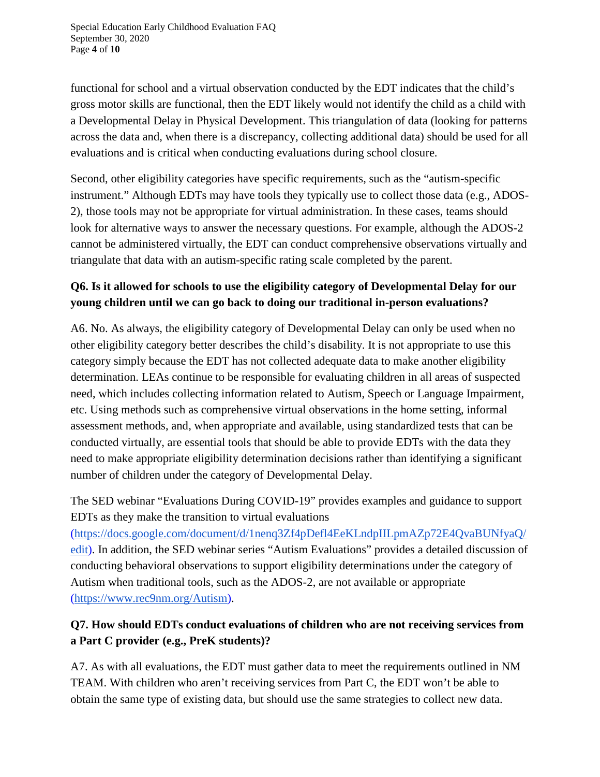Special Education Early Childhood Evaluation FAQ September 30, 2020 Page **4** of **10**

functional for school and a virtual observation conducted by the EDT indicates that the child's gross motor skills are functional, then the EDT likely would not identify the child as a child with a Developmental Delay in Physical Development. This triangulation of data (looking for patterns across the data and, when there is a discrepancy, collecting additional data) should be used for all evaluations and is critical when conducting evaluations during school closure.

Second, other eligibility categories have specific requirements, such as the "autism-specific instrument." Although EDTs may have tools they typically use to collect those data (e.g., ADOS-2), those tools may not be appropriate for virtual administration. In these cases, teams should look for alternative ways to answer the necessary questions. For example, although the ADOS-2 cannot be administered virtually, the EDT can conduct comprehensive observations virtually and triangulate that data with an autism-specific rating scale completed by the parent.

# **Q6. Is it allowed for schools to use the eligibility category of Developmental Delay for our young children until we can go back to doing our traditional in-person evaluations?**

A6. No. As always, the eligibility category of Developmental Delay can only be used when no other eligibility category better describes the child's disability. It is not appropriate to use this category simply because the EDT has not collected adequate data to make another eligibility determination. LEAs continue to be responsible for evaluating children in all areas of suspected need, which includes collecting information related to Autism, Speech or Language Impairment, etc. Using methods such as comprehensive virtual observations in the home setting, informal assessment methods, and, when appropriate and available, using standardized tests that can be conducted virtually, are essential tools that should be able to provide EDTs with the data they need to make appropriate eligibility determination decisions rather than identifying a significant number of children under the category of Developmental Delay.

The SED webinar "Evaluations During COVID-19" provides examples and guidance to support EDTs as they make the transition to virtual evaluations

[\(https://docs.google.com/document/d/1nenq3Zf4pDefl4EeKLndpIILpmAZp72E4QvaBUNfyaQ/](https://docs.google.com/document/d/1nenq3Zf4pDefl4EeKLndpIILpmAZp72E4QvaBUNfyaQ/edit) [edit\)](https://docs.google.com/document/d/1nenq3Zf4pDefl4EeKLndpIILpmAZp72E4QvaBUNfyaQ/edit). In addition, the SED webinar series "Autism Evaluations" provides a detailed discussion of conducting behavioral observations to support eligibility determinations under the category of Autism when traditional tools, such as the ADOS-2, are not available or appropriate [\(https://www.rec9nm.org/Autism\)](https://www.rec9nm.org/Autism).

# **Q7. How should EDTs conduct evaluations of children who are not receiving services from a Part C provider (e.g., PreK students)?**

A7. As with all evaluations, the EDT must gather data to meet the requirements outlined in NM TEAM. With children who aren't receiving services from Part C, the EDT won't be able to obtain the same type of existing data, but should use the same strategies to collect new data.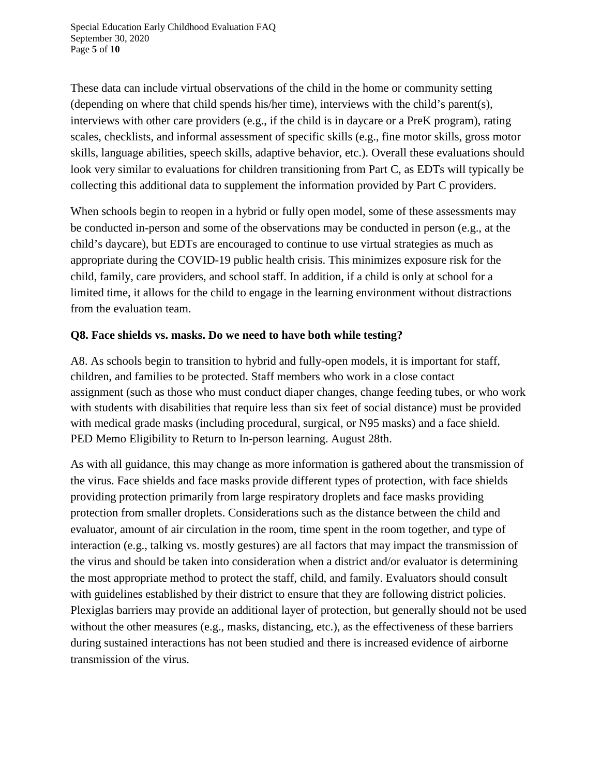Special Education Early Childhood Evaluation FAQ September 30, 2020 Page **5** of **10**

These data can include virtual observations of the child in the home or community setting (depending on where that child spends his/her time), interviews with the child's parent(s), interviews with other care providers (e.g., if the child is in daycare or a PreK program), rating scales, checklists, and informal assessment of specific skills (e.g., fine motor skills, gross motor skills, language abilities, speech skills, adaptive behavior, etc.). Overall these evaluations should look very similar to evaluations for children transitioning from Part C, as EDTs will typically be collecting this additional data to supplement the information provided by Part C providers.

When schools begin to reopen in a hybrid or fully open model, some of these assessments may be conducted in-person and some of the observations may be conducted in person (e.g., at the child's daycare), but EDTs are encouraged to continue to use virtual strategies as much as appropriate during the COVID-19 public health crisis. This minimizes exposure risk for the child, family, care providers, and school staff. In addition, if a child is only at school for a limited time, it allows for the child to engage in the learning environment without distractions from the evaluation team.

#### **Q8. Face shields vs. masks. Do we need to have both while testing?**

A8. As schools begin to transition to hybrid and fully-open models, it is important for staff, children, and families to be protected. Staff members who work in a close contact assignment (such as those who must conduct diaper changes, change feeding tubes, or who work with students with disabilities that require less than six feet of social distance) must be provided with medical grade masks (including procedural, surgical, or N95 masks) and a face shield. PED Memo Eligibility to Return to In-person learning. August 28th.

As with all guidance, this may change as more information is gathered about the transmission of the virus. Face shields and face masks provide different types of protection, with face shields providing protection primarily from large respiratory droplets and face masks providing protection from smaller droplets. Considerations such as the distance between the child and evaluator, amount of air circulation in the room, time spent in the room together, and type of interaction (e.g., talking vs. mostly gestures) are all factors that may impact the transmission of the virus and should be taken into consideration when a district and/or evaluator is determining the most appropriate method to protect the staff, child, and family. Evaluators should consult with guidelines established by their district to ensure that they are following district policies. Plexiglas barriers may provide an additional layer of protection, but generally should not be used without the other measures (e.g., masks, distancing, etc.), as the effectiveness of these barriers during sustained interactions has not been studied and there is increased evidence of airborne transmission of the virus.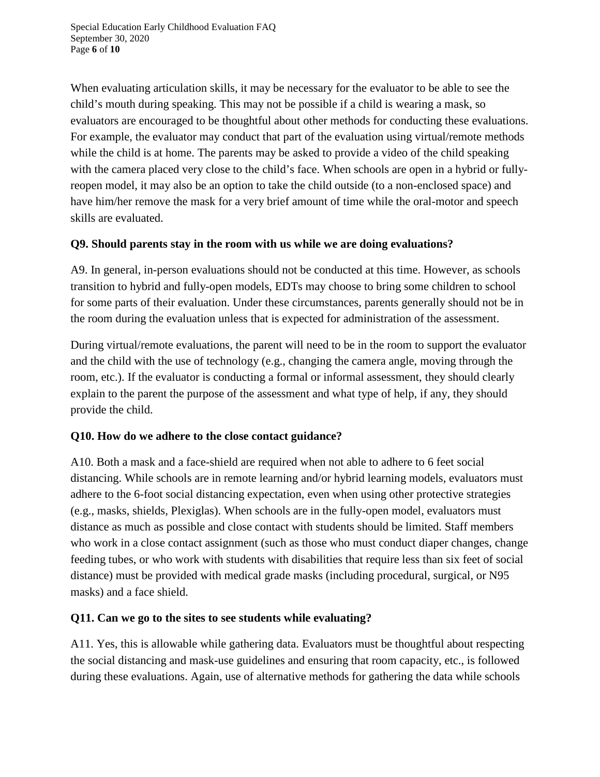When evaluating articulation skills, it may be necessary for the evaluator to be able to see the child's mouth during speaking. This may not be possible if a child is wearing a mask, so evaluators are encouraged to be thoughtful about other methods for conducting these evaluations. For example, the evaluator may conduct that part of the evaluation using virtual/remote methods while the child is at home. The parents may be asked to provide a video of the child speaking with the camera placed very close to the child's face. When schools are open in a hybrid or fullyreopen model, it may also be an option to take the child outside (to a non-enclosed space) and have him/her remove the mask for a very brief amount of time while the oral-motor and speech skills are evaluated.

## **Q9. Should parents stay in the room with us while we are doing evaluations?**

A9. In general, in-person evaluations should not be conducted at this time. However, as schools transition to hybrid and fully-open models, EDTs may choose to bring some children to school for some parts of their evaluation. Under these circumstances, parents generally should not be in the room during the evaluation unless that is expected for administration of the assessment.

During virtual/remote evaluations, the parent will need to be in the room to support the evaluator and the child with the use of technology (e.g., changing the camera angle, moving through the room, etc.). If the evaluator is conducting a formal or informal assessment, they should clearly explain to the parent the purpose of the assessment and what type of help, if any, they should provide the child.

## **Q10. How do we adhere to the close contact guidance?**

A10. Both a mask and a face-shield are required when not able to adhere to 6 feet social distancing. While schools are in remote learning and/or hybrid learning models, evaluators must adhere to the 6-foot social distancing expectation, even when using other protective strategies (e.g., masks, shields, Plexiglas). When schools are in the fully-open model, evaluators must distance as much as possible and close contact with students should be limited. Staff members who work in a close contact assignment (such as those who must conduct diaper changes, change feeding tubes, or who work with students with disabilities that require less than six feet of social distance) must be provided with medical grade masks (including procedural, surgical, or N95 masks) and a face shield.

## **Q11. Can we go to the sites to see students while evaluating?**

A11. Yes, this is allowable while gathering data. Evaluators must be thoughtful about respecting the social distancing and mask-use guidelines and ensuring that room capacity, etc., is followed during these evaluations. Again, use of alternative methods for gathering the data while schools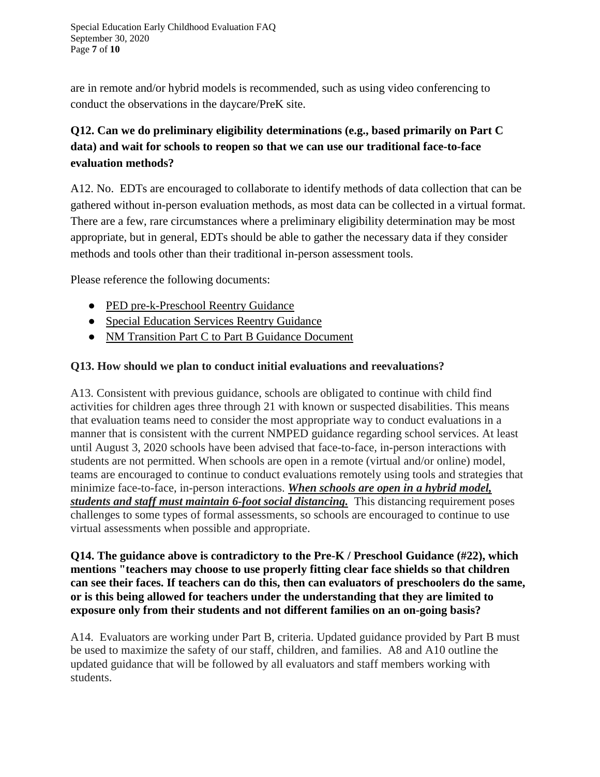are in remote and/or hybrid models is recommended, such as using video conferencing to conduct the observations in the daycare/PreK site.

# **Q12. Can we do preliminary eligibility determinations (e.g., based primarily on Part C data) and wait for schools to reopen so that we can use our traditional face-to-face evaluation methods?**

A12. No. EDTs are encouraged to collaborate to identify methods of data collection that can be gathered without in-person evaluation methods, as most data can be collected in a virtual format. There are a few, rare circumstances where a preliminary eligibility determination may be most appropriate, but in general, EDTs should be able to gather the necessary data if they consider methods and tools other than their traditional in-person assessment tools.

Please reference the following documents:

- [PED pre-k-Preschool Reentry Guidance](https://webnew.ped.state.nm.us/wp-content/uploads/2020/07/NMPED_SupportDoc_PreK-Preschool.pdf)
- [Special Education Services Reentry Guidance](https://webnew.ped.state.nm.us/wp-content/uploads/2020/07/NMPED_SupportDoc_SpecialEducation.pdf)
- NM Transition Part C to Part B Guidance Document

### **Q13. How should we plan to conduct initial evaluations and reevaluations?**

A13. Consistent with previous guidance, schools are obligated to continue with child find activities for children ages three through 21 with known or suspected disabilities. This means that evaluation teams need to consider the most appropriate way to conduct evaluations in a manner that is consistent with the current NMPED guidance regarding school services. At least until August 3, 2020 schools have been advised that face-to-face, in-person interactions with students are not permitted. When schools are open in a remote (virtual and/or online) model, teams are encouraged to continue to conduct evaluations remotely using tools and strategies that minimize face-to-face, in-person interactions. *When schools are open in a hybrid model, students and staff must maintain 6-foot social distancing.* This distancing requirement poses challenges to some types of formal assessments, so schools are encouraged to continue to use virtual assessments when possible and appropriate.

#### **Q14. The guidance above is contradictory to the Pre-K / Preschool Guidance (#22), which mentions "teachers may choose to use properly fitting clear face shields so that children can see their faces. If teachers can do this, then can evaluators of preschoolers do the same, or is this being allowed for teachers under the understanding that they are limited to exposure only from their students and not different families on an on-going basis?**

A14. Evaluators are working under Part B, criteria. Updated guidance provided by Part B must be used to maximize the safety of our staff, children, and families. A8 and A10 outline the updated guidance that will be followed by all evaluators and staff members working with students.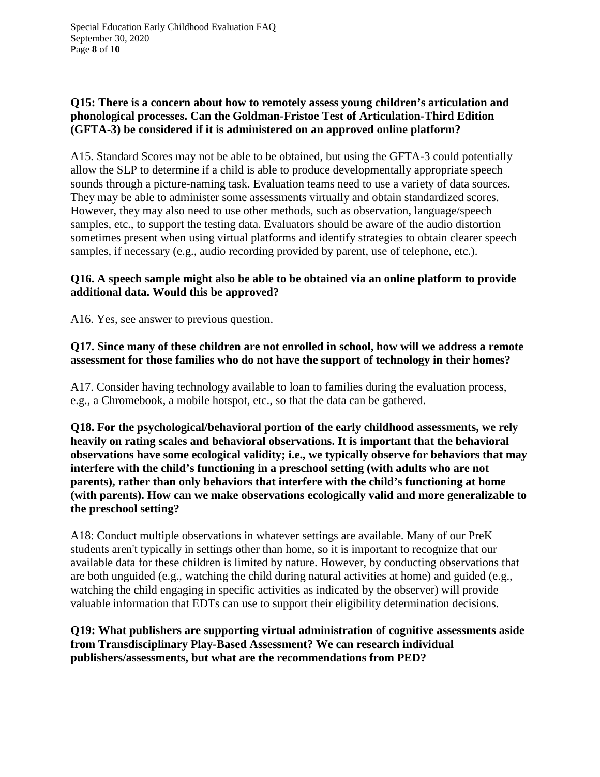### **Q15: There is a concern about how to remotely assess young children's articulation and phonological processes. Can the Goldman-Fristoe Test of Articulation-Third Edition (GFTA-3) be considered if it is administered on an approved online platform?**

A15. Standard Scores may not be able to be obtained, but using the GFTA-3 could potentially allow the SLP to determine if a child is able to produce developmentally appropriate speech sounds through a picture-naming task. Evaluation teams need to use a variety of data sources. They may be able to administer some assessments virtually and obtain standardized scores. However, they may also need to use other methods, such as observation, language/speech samples, etc., to support the testing data. Evaluators should be aware of the audio distortion sometimes present when using virtual platforms and identify strategies to obtain clearer speech samples, if necessary (e.g., audio recording provided by parent, use of telephone, etc.).

#### **Q16. A speech sample might also be able to be obtained via an online platform to provide additional data. Would this be approved?**

A16. Yes, see answer to previous question.

#### **Q17. Since many of these children are not enrolled in school, how will we address a remote assessment for those families who do not have the support of technology in their homes?**

A17. Consider having technology available to loan to families during the evaluation process, e.g., a Chromebook, a mobile hotspot, etc., so that the data can be gathered.

**Q18. For the psychological/behavioral portion of the early childhood assessments, we rely heavily on rating scales and behavioral observations. It is important that the behavioral observations have some ecological validity; i.e., we typically observe for behaviors that may interfere with the child's functioning in a preschool setting (with adults who are not parents), rather than only behaviors that interfere with the child's functioning at home (with parents). How can we make observations ecologically valid and more generalizable to the preschool setting?**

A18: Conduct multiple observations in whatever settings are available. Many of our PreK students aren't typically in settings other than home, so it is important to recognize that our available data for these children is limited by nature. However, by conducting observations that are both unguided (e.g., watching the child during natural activities at home) and guided (e.g., watching the child engaging in specific activities as indicated by the observer) will provide valuable information that EDTs can use to support their eligibility determination decisions.

### **Q19: What publishers are supporting virtual administration of cognitive assessments aside from Transdisciplinary Play-Based Assessment? We can research individual publishers/assessments, but what are the recommendations from PED?**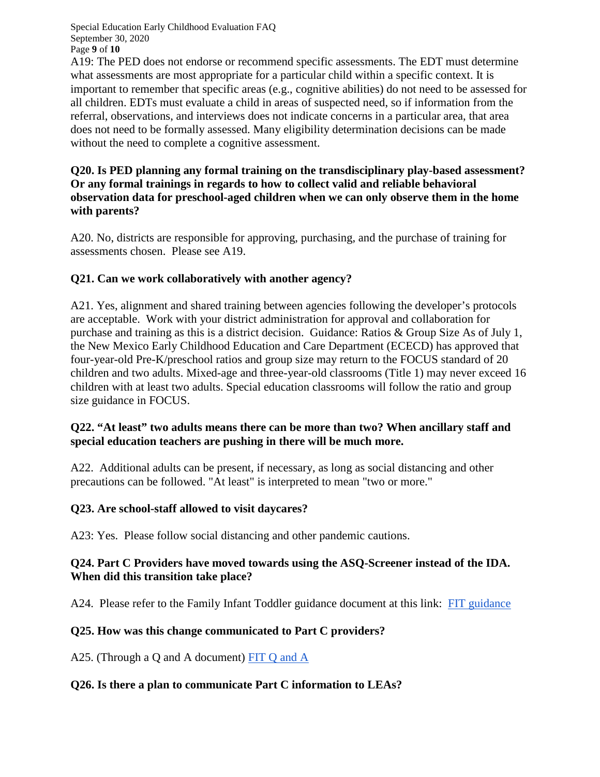Special Education Early Childhood Evaluation FAQ September 30, 2020 Page **9** of **10**

A19: The PED does not endorse or recommend specific assessments. The EDT must determine what assessments are most appropriate for a particular child within a specific context. It is important to remember that specific areas (e.g., cognitive abilities) do not need to be assessed for all children. EDTs must evaluate a child in areas of suspected need, so if information from the referral, observations, and interviews does not indicate concerns in a particular area, that area does not need to be formally assessed. Many eligibility determination decisions can be made without the need to complete a cognitive assessment.

#### **Q20. Is PED planning any formal training on the transdisciplinary play-based assessment? Or any formal trainings in regards to how to collect valid and reliable behavioral observation data for preschool-aged children when we can only observe them in the home with parents?**

A20. No, districts are responsible for approving, purchasing, and the purchase of training for assessments chosen. Please see A19.

### **Q21. Can we work collaboratively with another agency?**

A21. Yes, alignment and shared training between agencies following the developer's protocols are acceptable. Work with your district administration for approval and collaboration for purchase and training as this is a district decision. Guidance: Ratios & Group Size As of July 1, the New Mexico Early Childhood Education and Care Department (ECECD) has approved that four-year-old Pre-K/preschool ratios and group size may return to the FOCUS standard of 20 children and two adults. Mixed-age and three-year-old classrooms (Title 1) may never exceed 16 children with at least two adults. Special education classrooms will follow the ratio and group size guidance in FOCUS.

#### **Q22. "At least" two adults means there can be more than two? When ancillary staff and special education teachers are pushing in there will be much more.**

A22. Additional adults can be present, if necessary, as long as social distancing and other precautions can be followed. "At least" is interpreted to mean "two or more."

#### **Q23. Are school-staff allowed to visit daycares?**

A23: Yes. Please follow social distancing and other pandemic cautions.

#### **Q24. Part C Providers have moved towards using the ASQ-Screener instead of the IDA. When did this transition take place?**

A24. Please refer to the Family Infant Toddler guidance document at this link: [FIT guidance](https://www.google.com/url?q=http%3A%2F%2Fcdd.unm.edu%2Fearly-childhood-programs%2Fearly-childhood-learning-network%2Ffamily-infant-toddler-program-training%2Fcovid19.html)

#### **Q25. How was this change communicated to Part C providers?**

A25. (Through a Q and A document) [FIT Q and A](http://cdd.unm.edu/early-childhood-programs/early-childhood-learning-network/family-infant-toddler-program-training/pdfs/fit-faq-covid19.pdf)

#### **Q26. Is there a plan to communicate Part C information to LEAs?**